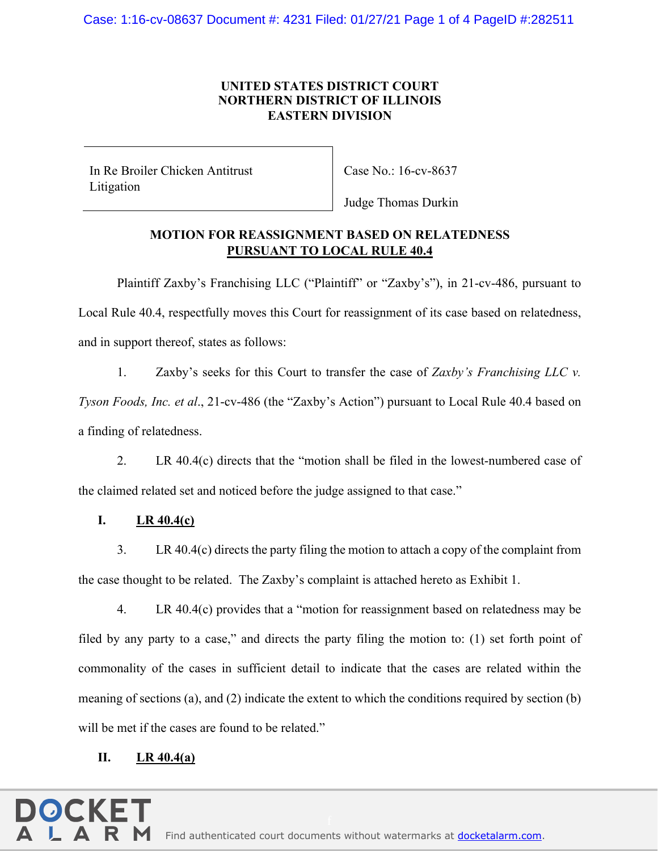### **UNITED STATES DISTRICT COURT NORTHERN DISTRICT OF ILLINOIS EASTERN DIVISION**

In Re Broiler Chicken Antitrust Litigation

Case No.: 16-cv-8637

Judge Thomas Durkin

# **MOTION FOR REASSIGNMENT BASED ON RELATEDNESS PURSUANT TO LOCAL RULE 40.4**

Plaintiff Zaxby's Franchising LLC ("Plaintiff" or "Zaxby's"), in 21-cv-486, pursuant to Local Rule 40.4, respectfully moves this Court for reassignment of its case based on relatedness, and in support thereof, states as follows:

1. Zaxby's seeks for this Court to transfer the case of *Zaxby's Franchising LLC v.* 

*Tyson Foods, Inc. et al*., 21-cv-486 (the "Zaxby's Action") pursuant to Local Rule 40.4 based on a finding of relatedness.

2. LR 40.4(c) directs that the "motion shall be filed in the lowest-numbered case of the claimed related set and noticed before the judge assigned to that case."

**I. LR 40.4(c)**

3. LR 40.4(c) directs the party filing the motion to attach a copy of the complaint from the case thought to be related. The Zaxby's complaint is attached hereto as Exhibit 1.

4. LR 40.4(c) provides that a "motion for reassignment based on relatedness may be filed by any party to a case," and directs the party filing the motion to: (1) set forth point of commonality of the cases in sufficient detail to indicate that the cases are related within the meaning of sections (a), and (2) indicate the extent to which the conditions required by section (b) will be met if the cases are found to be related."

# **II. LR 40.4(a)**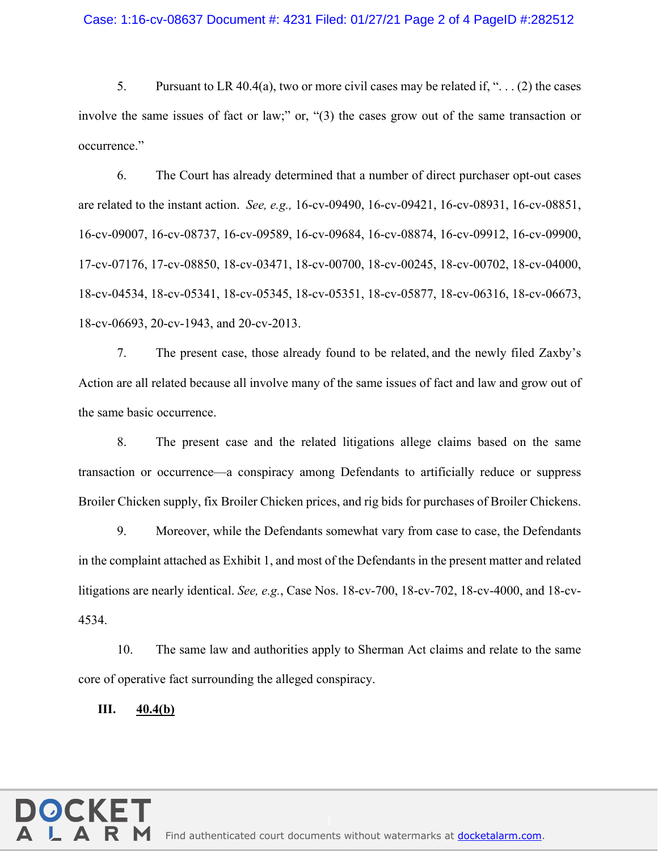5. Pursuant to LR 40.4(a), two or more civil cases may be related if, " $\dots$  (2) the cases involve the same issues of fact or law;" or, "(3) the cases grow out of the same transaction or occurrence."

6. The Court has already determined that a number of direct purchaser opt-out cases are related to the instant action. *See, e.g.,* 16-cv-09490, 16-cv-09421, 16-cv-08931, 16-cv-08851, 16-cv-09007, 16-cv-08737, 16-cv-09589, 16-cv-09684, 16-cv-08874, 16-cv-09912, 16-cv-09900, 17-cv-07176, 17-cv-08850, 18-cv-03471, 18-cv-00700, 18-cv-00245, 18-cv-00702, 18-cv-04000, 18-cv-04534, 18-cv-05341, 18-cv-05345, 18-cv-05351, 18-cv-05877, 18-cv-06316, 18-cv-06673, 18-cv-06693, 20-cv-1943, and 20-cv-2013.

7. The present case, those already found to be related, and the newly filed Zaxby's Action are all related because all involve many of the same issues of fact and law and grow out of the same basic occurrence.

8. The present case and the related litigations allege claims based on the same transaction or occurrence—a conspiracy among Defendants to artificially reduce or suppress Broiler Chicken supply, fix Broiler Chicken prices, and rig bids for purchases of Broiler Chickens.

9. Moreover, while the Defendants somewhat vary from case to case, the Defendants in the complaint attached as Exhibit 1, and most of the Defendants in the present matter and related litigations are nearly identical. *See, e.g.*, Case Nos. 18-cv-700, 18-cv-702, 18-cv-4000, and 18-cv-4534.

10. The same law and authorities apply to Sherman Act claims and relate to the same core of operative fact surrounding the alleged conspiracy.

**III. 40.4(b)**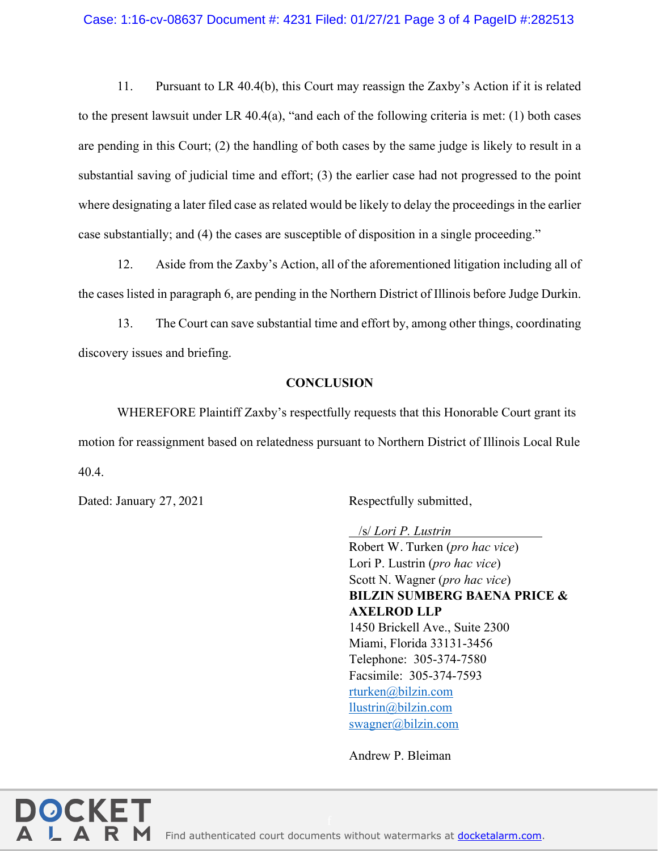11. Pursuant to LR 40.4(b), this Court may reassign the Zaxby's Action if it is related to the present lawsuit under LR 40.4(a), "and each of the following criteria is met: (1) both cases are pending in this Court; (2) the handling of both cases by the same judge is likely to result in a substantial saving of judicial time and effort; (3) the earlier case had not progressed to the point where designating a later filed case as related would be likely to delay the proceedings in the earlier case substantially; and (4) the cases are susceptible of disposition in a single proceeding."

12. Aside from the Zaxby's Action, all of the aforementioned litigation including all of the cases listed in paragraph 6, are pending in the Northern District of Illinois before Judge Durkin.

13. The Court can save substantial time and effort by, among other things, coordinating discovery issues and briefing.

### **CONCLUSION**

WHEREFORE Plaintiff Zaxby's respectfully requests that this Honorable Court grant its motion for reassignment based on relatedness pursuant to Northern District of Illinois Local Rule 40.4.

**DOCKE** 

Dated: January 27, 2021 Respectfully submitted,

/s/ *Lori P. Lustrin*

Robert W. Turken (*pro hac vice*) Lori P. Lustrin (*pro hac vice*) Scott N. Wagner (*pro hac vice*) **BILZIN SUMBERG BAENA PRICE & AXELROD LLP** 1450 Brickell Ave., Suite 2300 Miami, Florida 33131-3456 Telephone: 305-374-7580 Facsimile: 305-374-7593 rturken@bilzin.com llustrin@bilzin.com swagner@bilzin.com

Andrew P. Bleiman